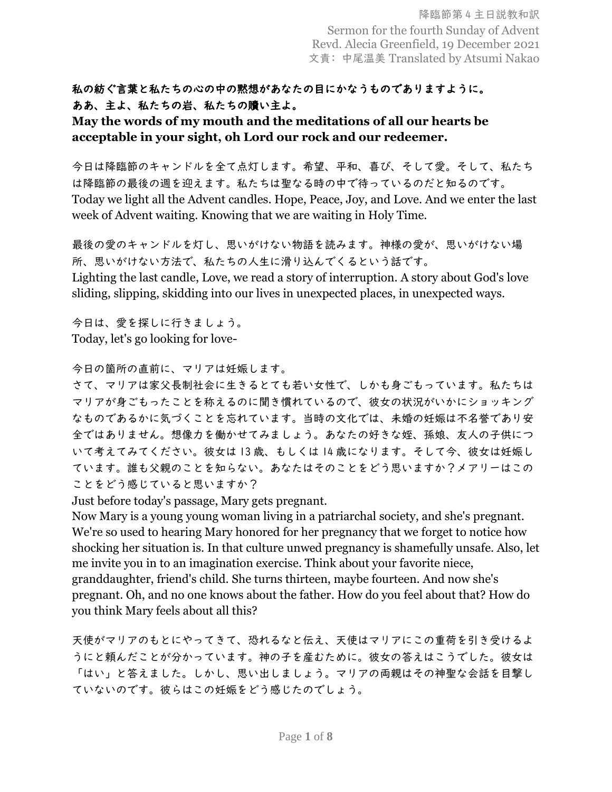## 私の紡ぐ言葉と私たちの心の中の黙想があなたの目にかなうものでありますように。 ああ、主よ、私たちの岩、私たちの贖い主よ。

## **May the words of my mouth and the meditations of all our hearts be acceptable in your sight, oh Lord our rock and our redeemer.**

今日は降臨節のキャンドルを全て点灯します。希望、平和、喜び、そして愛。そして、私たち は降臨節の最後の週を迎えます。私たちは聖なる時の中で待っているのだと知るのです。 Today we light all the Advent candles. Hope, Peace, Joy, and Love. And we enter the last week of Advent waiting. Knowing that we are waiting in Holy Time.

最後の愛のキャンドルを灯し、思いがけない物語を読みます。神様の愛が、思いがけない場 所、思いがけない方法で、私たちの人生に滑り込んでくるという話です。

Lighting the last candle, Love, we read a story of interruption. A story about God's love sliding, slipping, skidding into our lives in unexpected places, in unexpected ways.

今日は、愛を探しに行きましょう。 Today, let's go looking for love-

今日の箇所の直前に、マリアは妊娠します。

さて、マリアは家父長制社会に生きるとても若い女性で、しかも身ごもっています。私たちは マリアが身ごもったことを称えるのに聞き慣れているので、彼女の状況がいかにショッキング なものであるかに気づくことを忘れています。当時の文化では、未婚の妊娠は不名誉であり安 全ではありません。想像力を働かせてみましょう。あなたの好きな姪、孫娘、友人の子供につ いて考えてみてください。彼女は 13 歳、もしくは 14 歳になります。そして今、彼女は妊娠し ています。誰も父親のことを知らない。あなたはそのことをどう思いますか?メアリーはこの ことをどう感じていると思いますか?

Just before today's passage, Mary gets pregnant.

Now Mary is a young young woman living in a patriarchal society, and she's pregnant. We're so used to hearing Mary honored for her pregnancy that we forget to notice how shocking her situation is. In that culture unwed pregnancy is shamefully unsafe. Also, let me invite you in to an imagination exercise. Think about your favorite niece, granddaughter, friend's child. She turns thirteen, maybe fourteen. And now she's pregnant. Oh, and no one knows about the father. How do you feel about that? How do you think Mary feels about all this?

天使がマリアのもとにやってきて、恐れるなと伝え、天使はマリアにこの重荷を引き受けるよ うにと頼んだことが分かっています。神の子を産むために。彼女の答えはこうでした。彼女は 「はい」と答えました。しかし、思い出しましょう。マリアの両親はその神聖な会話を目撃し ていないのです。彼らはこの妊娠をどう感じたのでしょう。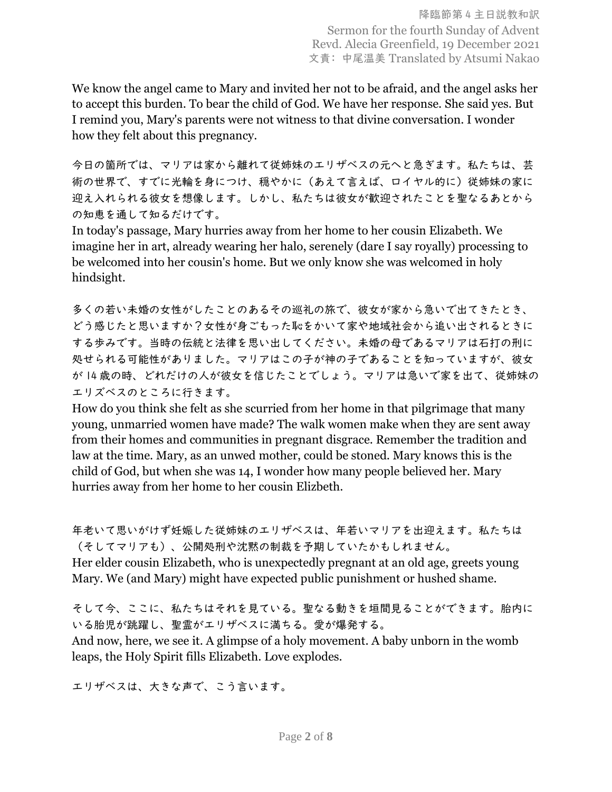We know the angel came to Mary and invited her not to be afraid, and the angel asks her to accept this burden. To bear the child of God. We have her response. She said yes. But I remind you, Mary's parents were not witness to that divine conversation. I wonder how they felt about this pregnancy.

今日の箇所では、マリアは家から離れて従姉妹のエリザベスの元へと急ぎます。私たちは、芸 術の世界で、すでに光輪を身につけ、穏やかに(あえて言えば、ロイヤル的に)従姉妹の家に 迎え入れられる彼女を想像します。しかし、私たちは彼女が歓迎されたことを聖なるあとから の知恵を通して知るだけです。

In today's passage, Mary hurries away from her home to her cousin Elizabeth. We imagine her in art, already wearing her halo, serenely (dare I say royally) processing to be welcomed into her cousin's home. But we only know she was welcomed in holy hindsight.

多くの若い未婚の女性がしたことのあるその巡礼の旅で、彼女が家から急いで出てきたとき、 どう感じたと思いますか?女性が身ごもった恥をかいて家や地域社会から追い出されるときに する歩みです。当時の伝統と法律を思い出してください。未婚の母であるマリアは石打の刑に 処せられる可能性がありました。マリアはこの子が神の子であることを知っていますが、彼女 が 14 歳の時、どれだけの人が彼女を信じたことでしょう。マリアは急いで家を出て、従姉妹の エリズベスのところに行きます。

How do you think she felt as she scurried from her home in that pilgrimage that many young, unmarried women have made? The walk women make when they are sent away from their homes and communities in pregnant disgrace. Remember the tradition and law at the time. Mary, as an unwed mother, could be stoned. Mary knows this is the child of God, but when she was 14, I wonder how many people believed her. Mary hurries away from her home to her cousin Elizbeth.

年老いて思いがけず妊娠した従姉妹のエリザベスは、年若いマリアを出迎えます。私たちは (そしてマリアも)、公開処刑や沈黙の制裁を予期していたかもしれません。

Her elder cousin Elizabeth, who is unexpectedly pregnant at an old age, greets young Mary. We (and Mary) might have expected public punishment or hushed shame.

そして今、ここに、私たちはそれを見ている。聖なる動きを垣間見ることができます。胎内に いる胎児が跳躍し、聖霊がエリザベスに満ちる。愛が爆発する。 And now, here, we see it. A glimpse of a holy movement. A baby unborn in the womb leaps, the Holy Spirit fills Elizabeth. Love explodes.

エリザベスは、大きな声で、こう言います。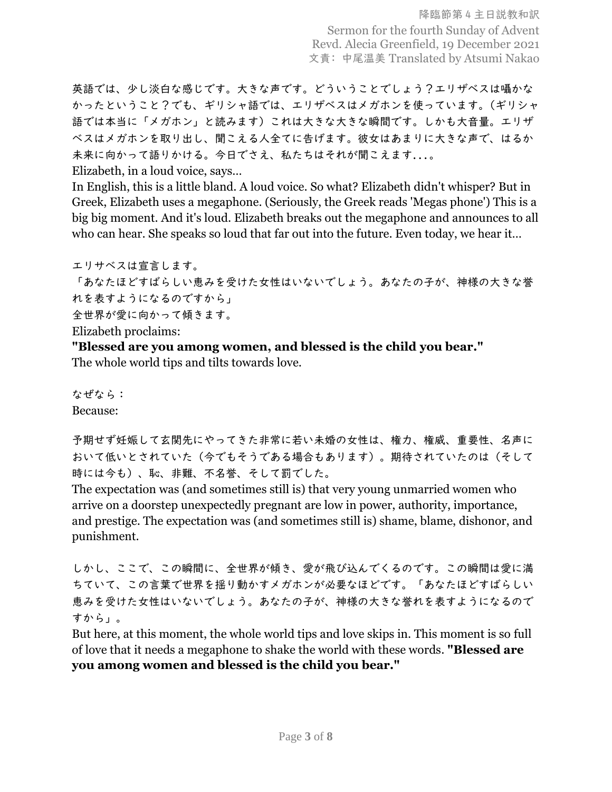降臨節第 4 主日説教和訳 Sermon for the fourth Sunday of Advent Revd. Alecia Greenfield, 19 December 2021 文責: 中尾温美 Translated by Atsumi Nakao

英語では、少し淡白な感じです。大きな声です。どういうことでしょう?エリザベスは囁かな かったということ?でも、ギリシャ語では、エリザベスはメガホンを使っています。(ギリシャ 語では本当に「メガホン」と読みます)これは大きな大きな瞬間です。しかも大音量。エリザ ベスはメガホンを取り出し、聞こえる人全てに告げます。彼女はあまりに大きな声で、はるか 未来に向かって語りかける。今日でさえ、私たちはそれが聞こえます...。

Elizabeth, in a loud voice, says…

In English, this is a little bland. A loud voice. So what? Elizabeth didn't whisper? But in Greek, Elizabeth uses a megaphone. (Seriously, the Greek reads 'Megas phone') This is a big big moment. And it's loud. Elizabeth breaks out the megaphone and announces to all who can hear. She speaks so loud that far out into the future. Even today, we hear it…

エリサベスは宣言します。

「あなたほどすばらしい恵みを受けた女性はいないでしょう。あなたの子が、神様の大きな誉 れを表すようになるのですから」

全世界が愛に向かって傾きます。

Elizabeth proclaims:

**"Blessed are you among women, and blessed is the child you bear."**

The whole world tips and tilts towards love.

なぜなら: Because:

予期せず妊娠して玄関先にやってきた非常に若い未婚の女性は、権力、権威、重要性、名声に おいて低いとされていた(今でもそうである場合もあります)。期待されていたのは(そして 時には今も)、恥、非難、不名誉、そして罰でした。

The expectation was (and sometimes still is) that very young unmarried women who arrive on a doorstep unexpectedly pregnant are low in power, authority, importance, and prestige. The expectation was (and sometimes still is) shame, blame, dishonor, and punishment.

しかし、ここで、この瞬間に、全世界が傾き、愛が飛び込んでくるのです。この瞬間は愛に満 ちていて、この言葉で世界を揺り動かすメガホンが必要なほどです。「あなたほどすばらしい 恵みを受けた女性はいないでしょう。あなたの子が、神様の大きな誉れを表すようになるので すから」。

But here, at this moment, the whole world tips and love skips in. This moment is so full of love that it needs a megaphone to shake the world with these words. **"Blessed are you among women and blessed is the child you bear."**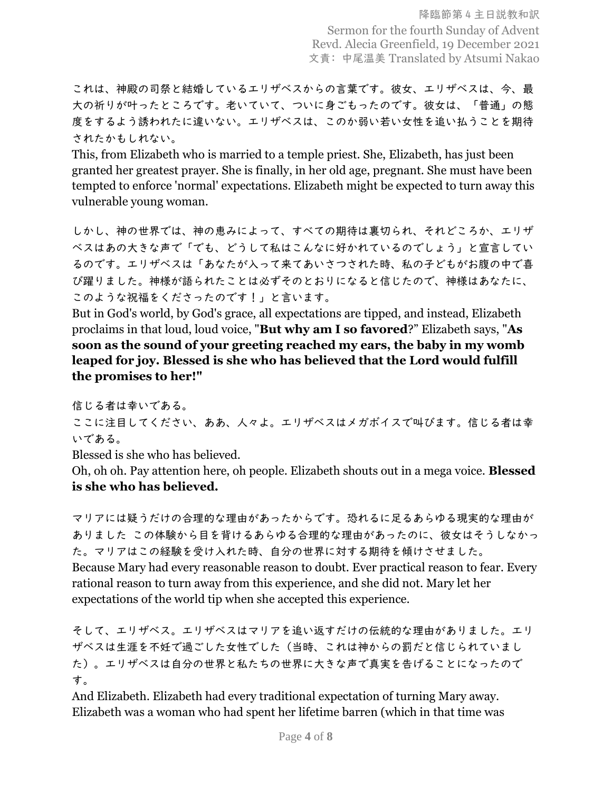これは、神殿の司祭と結婚しているエリザベスからの言葉です。彼女、エリザベスは、今、最 大の祈りが叶ったところです。老いていて、ついに身ごもったのです。彼女は、「普通」の態 度をするよう誘われたに違いない。エリザベスは、このか弱い若い女性を追い払うことを期待 されたかもしれない。

This, from Elizabeth who is married to a temple priest. She, Elizabeth, has just been granted her greatest prayer. She is finally, in her old age, pregnant. She must have been tempted to enforce 'normal' expectations. Elizabeth might be expected to turn away this vulnerable young woman.

しかし、神の世界では、神の恵みによって、すべての期待は裏切られ、それどころか、エリザ ベスはあの大きな声で「でも、どうして私はこんなに好かれているのでしょう」と宣言してい るのです。エリザベスは「あなたが入って来てあいさつされた時、私の子どもがお腹の中で喜 び躍りました。神様が語られたことは必ずそのとおりになると信じたので、神様はあなたに、 このような祝福をくださったのです!」と言います。

But in God's world, by God's grace, all expectations are tipped, and instead, Elizabeth proclaims in that loud, loud voice, "**But why am I so favored**?" Elizabeth says, "**As soon as the sound of your greeting reached my ears, the baby in my womb leaped for joy. Blessed is she who has believed that the Lord would fulfill the promises to her!"**

信じる者は幸いである。

ここに注目してください、ああ、人々よ。エリザベスはメガボイスで叫びます。信じる者は幸 いである。

Blessed is she who has believed.

Oh, oh oh. Pay attention here, oh people. Elizabeth shouts out in a mega voice. **Blessed is she who has believed.**

マリアには疑うだけの合理的な理由があったからです。恐れるに足るあらゆる現実的な理由が ありました この体験から目を背けるあらゆる合理的な理由があったのに、彼女はそうしなかっ た。マリアはこの経験を受け入れた時、自分の世界に対する期待を傾けさせました。 Because Mary had every reasonable reason to doubt. Ever practical reason to fear. Every rational reason to turn away from this experience, and she did not. Mary let her expectations of the world tip when she accepted this experience.

そして、エリザベス。エリザベスはマリアを追い返すだけの伝統的な理由がありました。エリ ザベスは生涯を不妊で過ごした女性でした(当時、これは神からの罰だと信じられていまし た)。エリザベスは自分の世界と私たちの世界に大きな声で真実を告げることになったので す。

And Elizabeth. Elizabeth had every traditional expectation of turning Mary away. Elizabeth was a woman who had spent her lifetime barren (which in that time was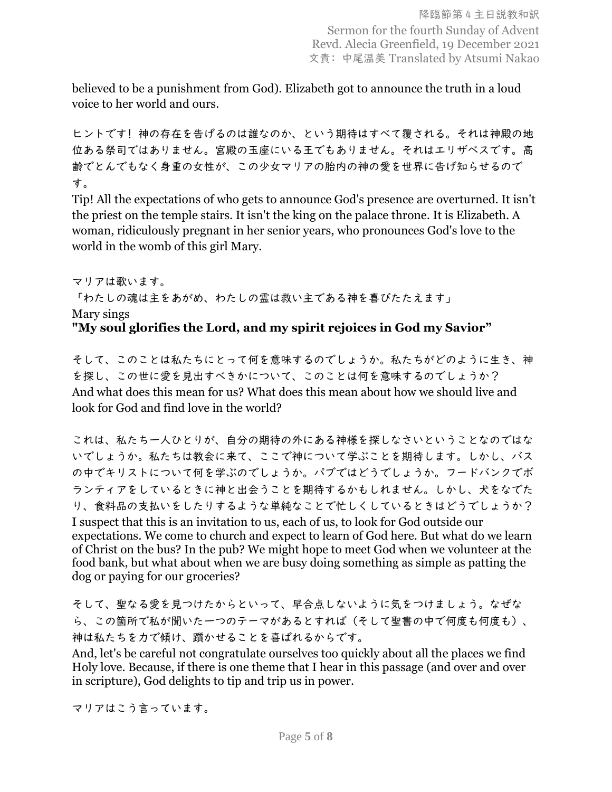believed to be a punishment from God). Elizabeth got to announce the truth in a loud voice to her world and ours.

ヒントです! 神の存在を告げるのは誰なのか、という期待はすべて覆される。それは神殿の地 位ある祭司ではありません。宮殿の玉座にいる王でもありません。それはエリザベスです。高 齢でとんでもなく身重の女性が、この少女マリアの胎内の神の愛を世界に告げ知らせるので す。

Tip! All the expectations of who gets to announce God's presence are overturned. It isn't the priest on the temple stairs. It isn't the king on the palace throne. It is Elizabeth. A woman, ridiculously pregnant in her senior years, who pronounces God's love to the world in the womb of this girl Mary.

マリアは歌います。

「わたしの魂は主をあがめ、わたしの霊は救い主である神を喜びたたえます」

Mary sings

## **"My soul glorifies the Lord, and my spirit rejoices in God my Savior"**

そして、このことは私たちにとって何を意味するのでしょうか。私たちがどのように生き、神 を探し、この世に愛を見出すべきかについて、このことは何を意味するのでしょうか? And what does this mean for us? What does this mean about how we should live and look for God and find love in the world?

これは、私たち一人ひとりが、自分の期待の外にある神様を探しなさいということなのではな いでしょうか。私たちは教会に来て、ここで神について学ぶことを期待します。しかし、バス の中でキリストについて何を学ぶのでしょうか。パブではどうでしょうか。フードバンクでボ ランティアをしているときに神と出会うことを期待するかもしれません。しかし、犬をなでた り、食料品の支払いをしたりするような単純なことで忙しくしているときはどうでしょうか? I suspect that this is an invitation to us, each of us, to look for God outside our expectations. We come to church and expect to learn of God here. But what do we learn of Christ on the bus? In the pub? We might hope to meet God when we volunteer at the food bank, but what about when we are busy doing something as simple as patting the dog or paying for our groceries?

そして、聖なる愛を見つけたからといって、早合点しないように気をつけましょう。なぜな ら、この箇所で私が聞いた一つのテーマがあるとすれば(そして聖書の中で何度も何度も)、 神は私たちを力で傾け、躓かせることを喜ばれるからです。

And, let's be careful not congratulate ourselves too quickly about all the places we find Holy love. Because, if there is one theme that I hear in this passage (and over and over in scripture), God delights to tip and trip us in power.

マリアはこう言っています。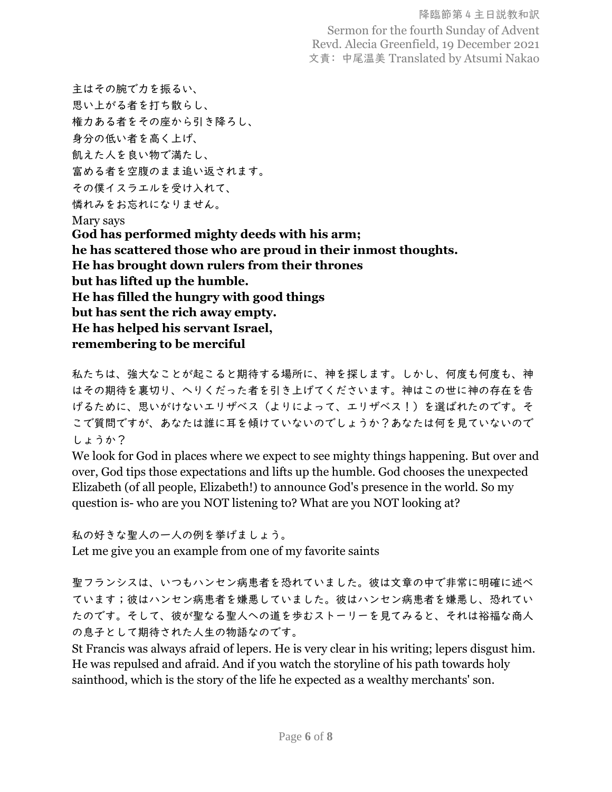降臨節第 4 主日説教和訳 Sermon for the fourth Sunday of Advent Revd. Alecia Greenfield, 19 December 2021 文責: 中尾温美 Translated by Atsumi Nakao

主はその腕で力を振るい、 思い上がる者を打ち散らし、 権力ある者をその座から引き降ろし、 身分の低い者を高く上げ、 飢えた人を良い物で満たし、 富める者を空腹のまま追い返されます。 その僕イスラエルを受け入れて、 憐れみをお忘れになりません。 Mary says **God has performed mighty deeds with his arm; he has scattered those who are proud in their inmost thoughts. He has brought down rulers from their thrones but has lifted up the humble. He has filled the hungry with good things but has sent the rich away empty. He has helped his servant Israel, remembering to be merciful**

私たちは、強大なことが起こると期待する場所に、神を探します。しかし、何度も何度も、神 はその期待を裏切り、へりくだった者を引き上げてくださいます。神はこの世に神の存在を告 げるために、思いがけないエリザベス(よりによって、エリザベス!)を選ばれたのです。そ こで質問ですが、あなたは誰に耳を傾けていないのでしょうか?あなたは何を見ていないので しょうか?

We look for God in places where we expect to see mighty things happening. But over and over, God tips those expectations and lifts up the humble. God chooses the unexpected Elizabeth (of all people, Elizabeth!) to announce God's presence in the world. So my question is- who are you NOT listening to? What are you NOT looking at?

私の好きな聖人の一人の例を挙げましょう。

Let me give you an example from one of my favorite saints

聖フランシスは、いつもハンセン病患者を恐れていました。彼は文章の中で非常に明確に述べ ています;彼はハンセン病患者を嫌悪していました。彼はハンセン病患者を嫌悪し、恐れてい たのです。そして、彼が聖なる聖人への道を歩むストーリーを見てみると、それは裕福な商人 の息子として期待された人生の物語なのです。

St Francis was always afraid of lepers. He is very clear in his writing; lepers disgust him. He was repulsed and afraid. And if you watch the storyline of his path towards holy sainthood, which is the story of the life he expected as a wealthy merchants' son.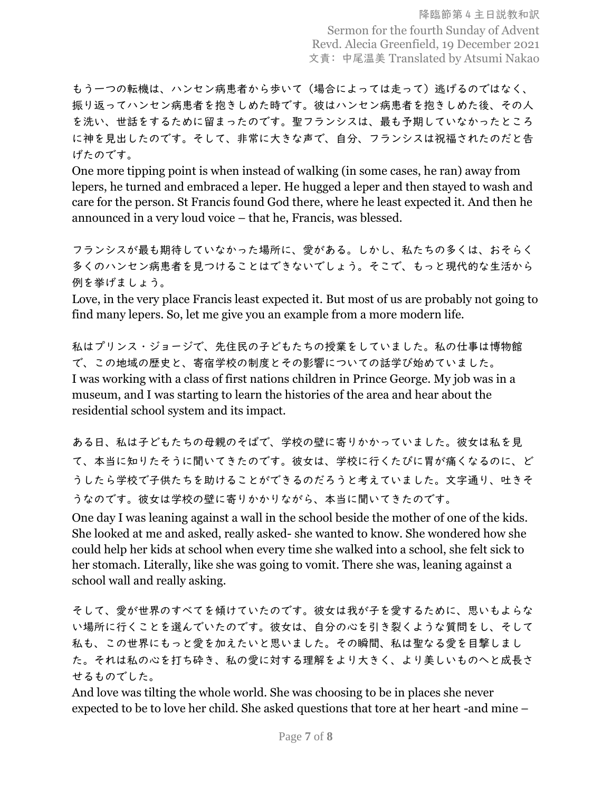もう一つの転機は、ハンセン病患者から歩いて(場合によっては走って)逃げるのではなく、 振り返ってハンセン病患者を抱きしめた時です。彼はハンセン病患者を抱きしめた後、その人 を洗い、世話をするために留まったのです。聖フランシスは、最も予期していなかったところ に神を見出したのです。そして、非常に大きな声で、自分、フランシスは祝福されたのだと告 げたのです。

One more tipping point is when instead of walking (in some cases, he ran) away from lepers, he turned and embraced a leper. He hugged a leper and then stayed to wash and care for the person. St Francis found God there, where he least expected it. And then he announced in a very loud voice – that he, Francis, was blessed.

フランシスが最も期待していなかった場所に、愛がある。しかし、私たちの多くは、おそらく 多くのハンセン病患者を見つけることはできないでしょう。そこで、もっと現代的な生活から 例を挙げましょう。

Love, in the very place Francis least expected it. But most of us are probably not going to find many lepers. So, let me give you an example from a more modern life.

私はプリンス・ジョージで、先住民の子どもたちの授業をしていました。私の仕事は博物館 で、この地域の歴史と、寄宿学校の制度とその影響についての話学び始めていました。 I was working with a class of first nations children in Prince George. My job was in a museum, and I was starting to learn the histories of the area and hear about the residential school system and its impact.

ある日、私は子どもたちの母親のそばで、学校の壁に寄りかかっていました。彼女は私を見 て、本当に知りたそうに聞いてきたのです。彼女は、学校に行くたびに胃が痛くなるのに、ど うしたら学校で子供たちを助けることができるのだろうと考えていました。文字通り、吐きそ うなのです。彼女は学校の壁に寄りかかりながら、本当に聞いてきたのです。

One day I was leaning against a wall in the school beside the mother of one of the kids. She looked at me and asked, really asked- she wanted to know. She wondered how she could help her kids at school when every time she walked into a school, she felt sick to her stomach. Literally, like she was going to vomit. There she was, leaning against a school wall and really asking.

そして、愛が世界のすべてを傾けていたのです。彼女は我が子を愛するために、思いもよらな い場所に行くことを選んでいたのです。彼女は、自分の心を引き裂くような質問をし、そして 私も、この世界にもっと愛を加えたいと思いました。その瞬間、私は聖なる愛を目撃しまし た。それは私の心を打ち砕き、私の愛に対する理解をより大きく、より美しいものへと成長さ せるものでした。

And love was tilting the whole world. She was choosing to be in places she never expected to be to love her child. She asked questions that tore at her heart -and mine –